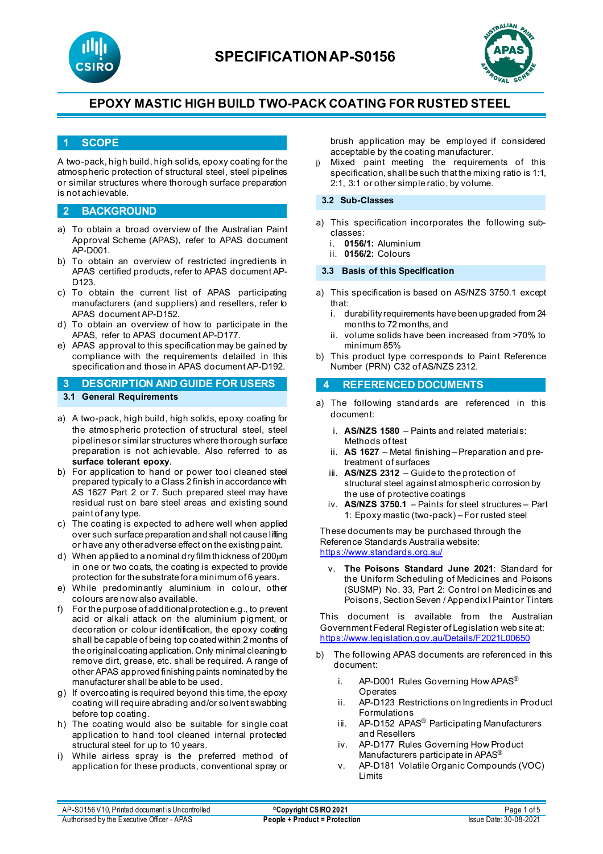



## **1 SCOPE**

A two-pack, high build, high solids, epoxy coating for the atmospheric protection of structural steel, steel pipelines or similar structures where thorough surface preparation is not achievable.

## **2 BACKGROUND**

- a) To obtain a broad overview of the Australian Paint Approval Scheme (APAS), refer to APAS document AP-D001.
- b) To obtain an overview of restricted ingredients in APAS certified products, refer to APAS document AP-D<sub>123</sub>
- c) To obtain the current list of APAS participating manufacturers (and suppliers) and resellers, refer to APAS document AP-D152.
- d) To obtain an overview of how to participate in the APAS, refer to APAS document AP-D177.
- e) APAS approval to this specification may be gained by compliance with the requirements detailed in this specification and those in APAS document AP-D192.

## **3 DESCRIPTION AND GUIDE FOR USERS 3.1 General Requirements**

- a) A two-pack, high build, high solids, epoxy coating for the atmospheric protection of structural steel, steel pipelines or similar structures where thorough surface preparation is not achievable. Also referred to as **surface tolerant epoxy**.
- b) For application to hand or power tool cleaned steel prepared typically to a Class 2 finish in accordance with AS 1627 Part 2 or 7. Such prepared steel may have residual rust on bare steel areas and existing sound paint of any type.
- c) The coating is expected to adhere well when applied over such surface preparation and shall not cause lifting or have any other adverse effect on the existing paint.
- d) When applied to a nominal dry film thickness of 200µm in one or two coats, the coating is expected to provide protection for the substrate for a minimum of 6 years.
- e) While predominantly aluminium in colour, other colours are now also available.
- f) For the purpose of additional protection e.g., to prevent acid or alkali attack on the aluminium pigment, or decoration or colour identification, the epoxy coating shall be capable of being top coated within 2 months of the original coating application. Only minimal cleaning to remove dirt, grease, etc. shall be required. A range of other APAS approved finishing paints nominated by the manufacturer shall be able to be used.
- g) If overcoating is required beyond this time, the epoxy coating will require abrading and/or solvent swabbing before top coating.
- h) The coating would also be suitable for single coat application to hand tool cleaned internal protected structural steel for up to 10 years.
- i) While airless spray is the preferred method of application for these products, conventional spray or

brush application may be employed if considered acceptable by the coating manufacturer.

j) Mixed paint meeting the requirements of this specification, shall be such that the mixing ratio is 1:1, 2:1, 3:1 or other simple ratio, by volume.

#### **3.2 Sub-Classes**

- a) This specification incorporates the following subclasses:
	- i. **0156/1:** Aluminium
	- ii. **0156/2:** Colours

### **3.3 Basis of this Specification**

- a) This specification is based on AS/NZS 3750.1 except that:
	- i. durability requirements have been upgraded from 24 months to 72 months, and
	- ii. volume solids have been increased from >70% to minimum 85%
- b) This product type corresponds to Paint Reference Number (PRN) C32 of AS/NZS 2312.

### **4 REFERENCED DOCUMENTS**

- a) The following standards are referenced in this document:
	- i. **AS/NZS 1580** Paints and related materials: Methods of test
	- ii. **AS 1627**  Metal finishing Preparation and pretreatment of surfaces
	- iii. **AS/NZS 2312** Guide to the protection of structural steel against atmospheric corrosion by the use of protective coatings
	- iv. **AS/NZS 3750.1** Paints for steel structures Part 1: Epoxy mastic (two-pack) – For rusted steel

These documents may be purchased through the Reference Standards Australia website: <https://www.standards.org.au/>

The Poisons Standard June 2021: Standard for the Uniform Scheduling of Medicines and Poisons (SUSMP) No. 33, Part 2: Control on Medicines and Poisons, Section Seven / Appendix I Paint or Tinters

This document is available from the Australian Government Federal Register of Legislation web site at: <https://www.legislation.gov.au/Details/F2021L00650>

- b) The following APAS documents are referenced in this document:
	- i. AP-D001 Rules Governing How APAS<sup>®</sup> **Operates**
	- ii. AP-D123 Restrictions on Ingredients in Product Formulations
	- iii. AP-D152 APAS<sup>®</sup> Participating Manufacturers and Resellers
	- iv. AP-D177 Rules Governing How Product Manufacturers participate in APAS®
	- v. AP-D181 Volatile Organic Compounds (VOC) Limits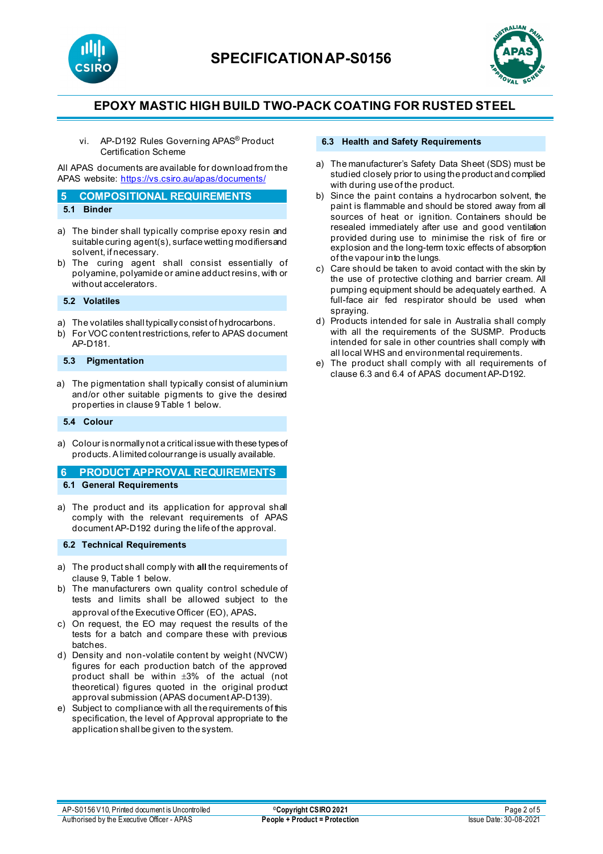



vi. AP-D192 Rules Governing APAS® Product Certification Scheme

All APAS documents are available for download from the APAS website: <https://vs.csiro.au/apas/documents/>

#### **5 COMPOSITIONAL REQUIREMENTS 5.1 Binder**

- 
- a) The binder shall typically comprise epoxy resin and suitable curing agent(s), surface wetting modifiers and solvent, if necessary.
- b) The curing agent shall consist essentially of polyamine, polyamide or amine adduct resins, with or without accelerators.

**5.2 Volatiles**

- a) The volatiles shall typically consist of hydrocarbons.
- b) For VOC content restrictions, refer to APAS document AP-D181.

### **5.3 Pigmentation**

a) The pigmentation shall typically consist of aluminium and/or other suitable pigments to give the desired properties in clause 9 Table 1 below.

### **5.4 Colour**

a) Colour is normally not a critical issue with these types of products. A limited colour range is usually available.

## **6 PRODUCT APPROVAL REQUIREMENTS 6.1 General Requirements**

a) The product and its application for approval shall comply with the relevant requirements of APAS document AP-D192 during the life of the approval.

### **6.2 Technical Requirements**

- a) The product shall comply with **all** the requirements of clause 9, Table 1 below.
- b) The manufacturers own quality control schedule of tests and limits shall be allowed subject to the approval of the Executive Officer (EO), APAS.
- c) On request, the EO may request the results of the tests for a batch and compare these with previous batches.
- d) Density and non-volatile content by weight (NVCW) figures for each production batch of the approved product shall be within ±3% of the actual (not theoretical) figures quoted in the original product approval submission (APAS document AP-D139).
- e) Subject to compliance with all the requirements of this specification, the level of Approval appropriate to the application shall be given to the system.

### **6.3 Health and Safety Requirements**

- a) The manufacturer's Safety Data Sheet (SDS) must be studied closely prior to using the product and complied with during use of the product.
- b) Since the paint contains a hydrocarbon solvent, the paint is flammable and should be stored away from all sources of heat or ignition. Containers should be resealed immediately after use and good ventilation provided during use to minimise the risk of fire or explosion and the long-term toxic effects of absorption of the vapour into the lungs.
- c) Care should be taken to avoid contact with the skin by the use of protective clothing and barrier cream. All pumping equipment should be adequately earthed. A full-face air fed respirator should be used when spraying.
- d) Products intended for sale in Australia shall comply with all the requirements of the SUSMP. Products intended for sale in other countries shall comply with all local WHS and environmental requirements.
- The product shall comply with all requirements of clause 6.3 and 6.4 of APAS document AP-D192.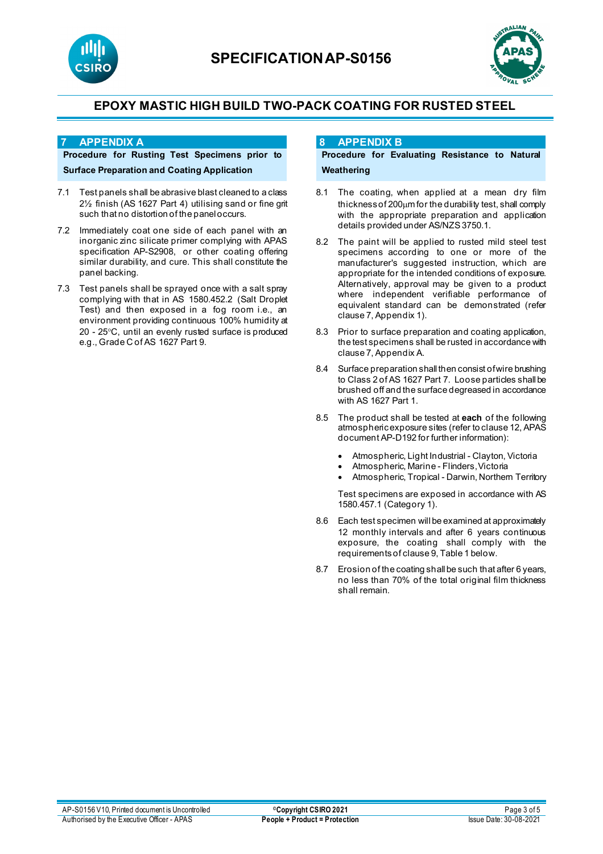



### **7 APPENDIX A**

## **Procedure for Rusting Test Specimens prior to Surface Preparation and Coating Application**

- 7.1 Test panels shall be abrasive blast cleaned to a class 2½ finish (AS 1627 Part 4) utilising sand or fine grit such that no distortion of the panel occurs.
- 7.2 Immediately coat one side of each panel with an inorganic zinc silicate primer complying with APAS specification AP-S2908, or other coating offering similar durability, and cure. This shall constitute the panel backing.
- 7.3 Test panels shall be sprayed once with a salt spray complying with that in AS 1580.452.2 (Salt Droplet Test) and then exposed in a fog room i.e., an environment providing continuous 100% humidity at 20 - 25°C, until an evenly rusted surface is produced e.g., Grade C of AS 1627 Part 9.

## **8 APPENDIX B**

## **Procedure for Evaluating Resistance to Natural Weathering**

- 8.1 The coating, when applied at a mean dry film thickness of 200µm for the durability test, shall comply with the appropriate preparation and application details provided under AS/NZS 3750.1.
- 8.2 The paint will be applied to rusted mild steel test specimens according to one or more of the manufacturer's suggested instruction, which are appropriate for the intended conditions of exposure. Alternatively, approval may be given to a product where independent verifiable performance of equivalent standard can be demonstrated (refer clause 7, Appendix 1).
- 8.3 Prior to surface preparation and coating application, the test specimens shall be rusted in accordance with clause 7, Appendix A.
- 8.4 Surface preparation shall then consist of wire brushing to Class 2 of AS 1627 Part 7. Loose particles shall be brushed off and the surface degreased in accordance with AS 1627 Part 1.
- 8.5 The product shall be tested at **each** of the following atmospheric exposure sites (refer to clause 12, APAS document AP-D192 for further information):
	- Atmospheric, Light Industrial Clayton, Victoria
	- Atmospheric, Marine Flinders, Victoria
	- Atmospheric, Tropical Darwin, Northern Territory

Test specimens are exposed in accordance with AS 1580.457.1 (Category 1).

- 8.6 Each test specimen will be examined at approximately 12 monthly intervals and after 6 years continuous exposure, the coating shall comply with the requirements of clause 9, Table 1 below.
- 8.7 Erosion of the coating shall be such that after 6 years, no less than 70% of the total original film thickness shall remain.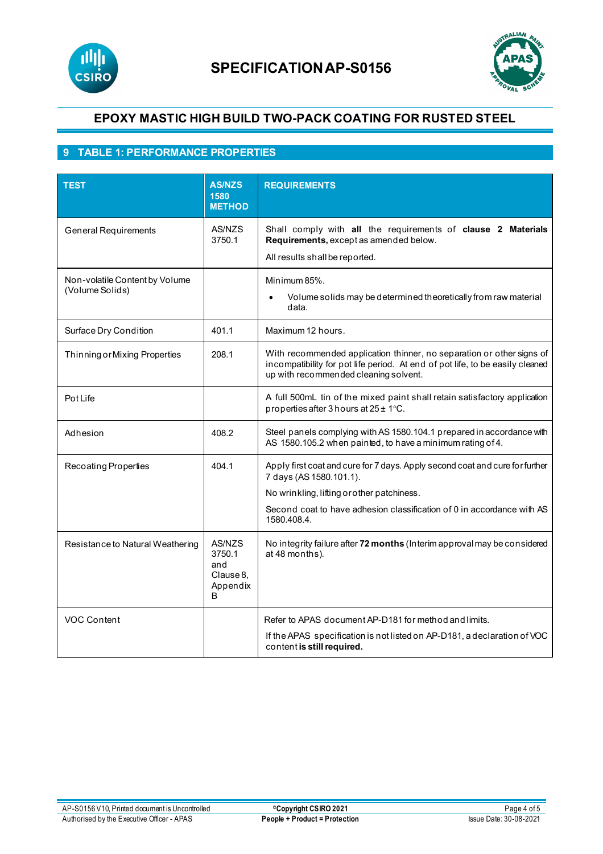



## **9 TABLE 1: PERFORMANCE PROPERTIES**

| <b>TEST</b>                                       | <b>AS/NZS</b><br>1580<br><b>METHOD</b>                | <b>REQUIREMENTS</b>                                                                                                                                                                             |
|---------------------------------------------------|-------------------------------------------------------|-------------------------------------------------------------------------------------------------------------------------------------------------------------------------------------------------|
| <b>General Requirements</b>                       | AS/NZS<br>3750.1                                      | Shall comply with all the requirements of clause 2 Materials<br>Requirements, except as amended below.<br>All results shall be reported.                                                        |
| Non-volatile Content by Volume<br>(Volume Solids) |                                                       | Minimum 85%.<br>Volume solids may be determined theoretically from raw material<br>data.                                                                                                        |
| Surface Dry Condition                             | 401.1                                                 | Maximum 12 hours.                                                                                                                                                                               |
| Thinning or Mixing Properties                     | 208.1                                                 | With recommended application thinner, no separation or other signs of<br>incompatibility for pot life period. At end of pot life, to be easily cleaned<br>up with recommended cleaning solvent. |
| Pot Life                                          |                                                       | A full 500mL tin of the mixed paint shall retain satisfactory application<br>properties after 3 hours at $25 \pm 1^{\circ}$ C.                                                                  |
| Adhesion                                          | 408.2                                                 | Steel panels complying with AS 1580.104.1 prepared in accordance with<br>AS 1580.105.2 when painted, to have a minimum rating of 4.                                                             |
| Recoating Properties                              | 404.1                                                 | Apply first coat and cure for 7 days. Apply second coat and cure for further<br>7 days (AS 1580.101.1).                                                                                         |
|                                                   |                                                       | No wrinkling, lifting or other patchiness.                                                                                                                                                      |
|                                                   |                                                       | Second coat to have adhesion classification of 0 in accordance with AS<br>1580.408.4.                                                                                                           |
| Resistance to Natural Weathering                  | AS/NZS<br>3750.1<br>and<br>Clause 8,<br>Appendix<br>B | No integrity failure after 72 months (Interim approval may be considered<br>at 48 months).                                                                                                      |
| <b>VOC Content</b>                                |                                                       | Refer to APAS document AP-D181 for method and limits.                                                                                                                                           |
|                                                   |                                                       | If the APAS specification is not listed on AP-D181, a declaration of VOC<br>content is still required.                                                                                          |